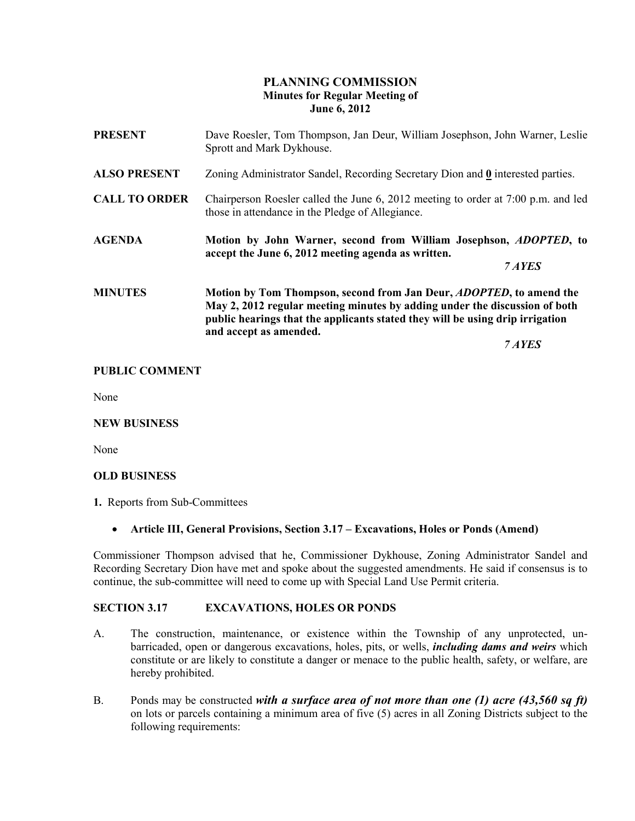### PLANNING COMMISSION Minutes for Regular Meeting of June 6, 2012

| <b>PRESENT</b>       | Dave Roesler, Tom Thompson, Jan Deur, William Josephson, John Warner, Leslie<br>Sprott and Mark Dykhouse.                                                                                                                                                            |
|----------------------|----------------------------------------------------------------------------------------------------------------------------------------------------------------------------------------------------------------------------------------------------------------------|
| <b>ALSO PRESENT</b>  | Zoning Administrator Sandel, Recording Secretary Dion and 0 interested parties.                                                                                                                                                                                      |
| <b>CALL TO ORDER</b> | Chairperson Roesler called the June 6, 2012 meeting to order at 7:00 p.m. and led<br>those in attendance in the Pledge of Allegiance.                                                                                                                                |
| <b>AGENDA</b>        | Motion by John Warner, second from William Josephson, ADOPTED, to<br>accept the June 6, 2012 meeting agenda as written.<br>7 AYES                                                                                                                                    |
| <b>MINUTES</b>       | Motion by Tom Thompson, second from Jan Deur, <i>ADOPTED</i> , to amend the<br>May 2, 2012 regular meeting minutes by adding under the discussion of both<br>public hearings that the applicants stated they will be using drip irrigation<br>and accept as amended. |
|                      | 7 AYES                                                                                                                                                                                                                                                               |

### PUBLIC COMMENT

None

#### NEW BUSINESS

None

### OLD BUSINESS

1. Reports from Sub-Committees

### • Article III, General Provisions, Section 3.17 – Excavations, Holes or Ponds (Amend)

Commissioner Thompson advised that he, Commissioner Dykhouse, Zoning Administrator Sandel and Recording Secretary Dion have met and spoke about the suggested amendments. He said if consensus is to continue, the sub-committee will need to come up with Special Land Use Permit criteria.

#### SECTION 3.17 EXCAVATIONS, HOLES OR PONDS

- A. The construction, maintenance, or existence within the Township of any unprotected, unbarricaded, open or dangerous excavations, holes, pits, or wells, *including dams and weirs* which constitute or are likely to constitute a danger or menace to the public health, safety, or welfare, are hereby prohibited.
- B. Ponds may be constructed with a surface area of not more than one (1) acre  $(43,560 \text{ sq ft})$ on lots or parcels containing a minimum area of five (5) acres in all Zoning Districts subject to the following requirements: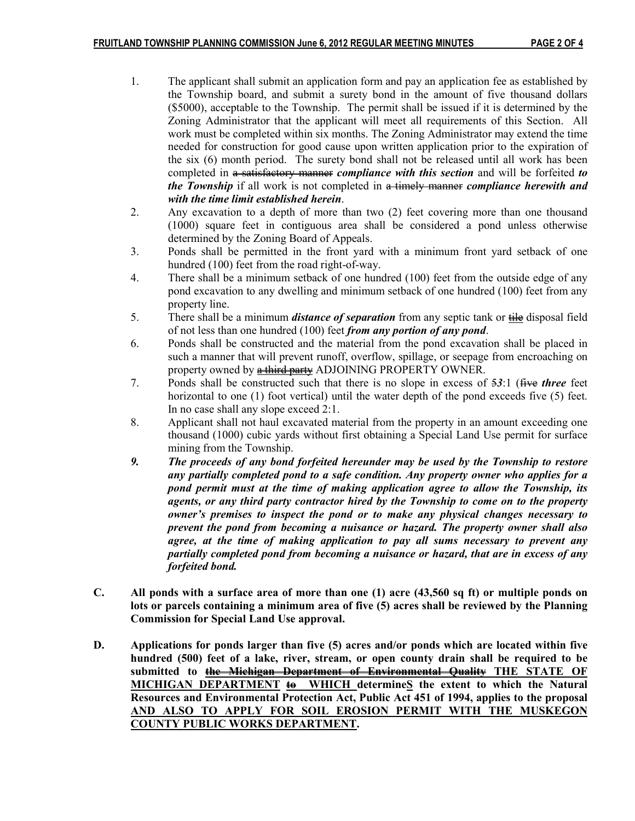- 1. The applicant shall submit an application form and pay an application fee as established by the Township board, and submit a surety bond in the amount of five thousand dollars (\$5000), acceptable to the Township. The permit shall be issued if it is determined by the Zoning Administrator that the applicant will meet all requirements of this Section. All work must be completed within six months. The Zoning Administrator may extend the time needed for construction for good cause upon written application prior to the expiration of the six (6) month period. The surety bond shall not be released until all work has been completed in a satisfactory manner *compliance with this section* and will be forfeited to the Township if all work is not completed in a timely manner compliance herewith and with the time limit established herein.
- 2. Any excavation to a depth of more than two (2) feet covering more than one thousand (1000) square feet in contiguous area shall be considered a pond unless otherwise determined by the Zoning Board of Appeals.
- 3. Ponds shall be permitted in the front yard with a minimum front yard setback of one hundred (100) feet from the road right-of-way.
- 4. There shall be a minimum setback of one hundred (100) feet from the outside edge of any pond excavation to any dwelling and minimum setback of one hundred (100) feet from any property line.
- 5. There shall be a minimum *distance of separation* from any septic tank or  $\frac{d}{dt}$  disposal field of not less than one hundred  $(100)$  feet *from any portion of any pond*.
- 6. Ponds shall be constructed and the material from the pond excavation shall be placed in such a manner that will prevent runoff, overflow, spillage, or seepage from encroaching on property owned by **a third party** ADJOINING PROPERTY OWNER.
- 7. Ponds shall be constructed such that there is no slope in excess of 53:1 (five three feet horizontal to one (1) foot vertical) until the water depth of the pond exceeds five (5) feet. In no case shall any slope exceed 2:1.
- 8. Applicant shall not haul excavated material from the property in an amount exceeding one thousand (1000) cubic yards without first obtaining a Special Land Use permit for surface mining from the Township.
- 9. The proceeds of any bond forfeited hereunder may be used by the Township to restore any partially completed pond to a safe condition. Any property owner who applies for a pond permit must at the time of making application agree to allow the Township, its agents, or any third party contractor hired by the Township to come on to the property owner's premises to inspect the pond or to make any physical changes necessary to prevent the pond from becoming a nuisance or hazard. The property owner shall also agree, at the time of making application to pay all sums necessary to prevent any partially completed pond from becoming a nuisance or hazard, that are in excess of any forfeited bond.
- C. All ponds with a surface area of more than one (1) acre (43,560 sq ft) or multiple ponds on lots or parcels containing a minimum area of five (5) acres shall be reviewed by the Planning Commission for Special Land Use approval.
- D. Applications for ponds larger than five (5) acres and/or ponds which are located within five hundred (500) feet of a lake, river, stream, or open county drain shall be required to be submitted to the Michigan Department of Environmental Quality THE STATE OF MICHIGAN DEPARTMENT  $\overline{\omega}$  WHICH determineS the extent to which the Natural Resources and Environmental Protection Act, Public Act 451 of 1994, applies to the proposal AND ALSO TO APPLY FOR SOIL EROSION PERMIT WITH THE MUSKEGON COUNTY PUBLIC WORKS DEPARTMENT.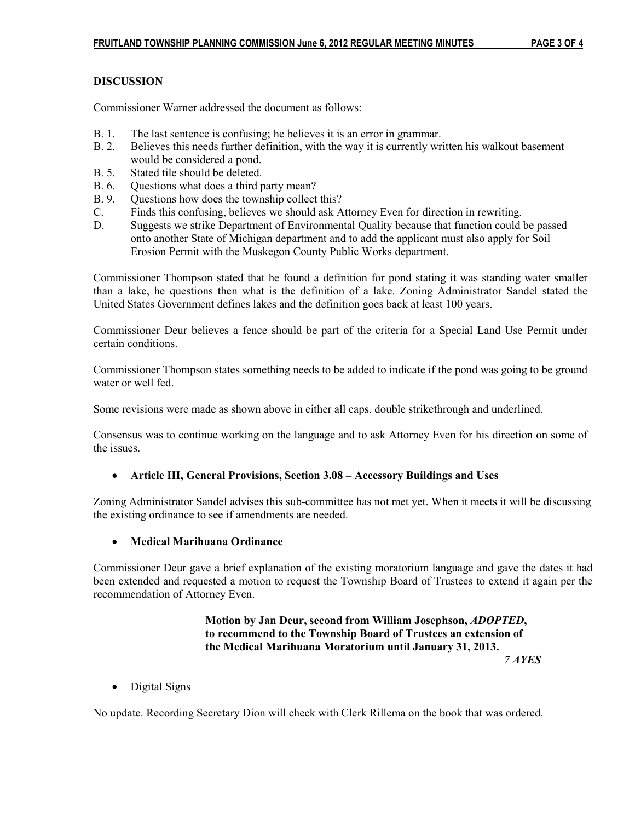# DISCUSSION

Commissioner Warner addressed the document as follows:

- B. 1. The last sentence is confusing; he believes it is an error in grammar.
- B. 2. Believes this needs further definition, with the way it is currently written his walkout basement would be considered a pond.
- B. 5. Stated tile should be deleted.
- B. 6. Ouestions what does a third party mean?
- B. 9. Questions how does the township collect this?
- C. Finds this confusing, believes we should ask Attorney Even for direction in rewriting.
- D. Suggests we strike Department of Environmental Quality because that function could be passed onto another State of Michigan department and to add the applicant must also apply for Soil Erosion Permit with the Muskegon County Public Works department.

Commissioner Thompson stated that he found a definition for pond stating it was standing water smaller than a lake, he questions then what is the definition of a lake. Zoning Administrator Sandel stated the United States Government defines lakes and the definition goes back at least 100 years.

Commissioner Deur believes a fence should be part of the criteria for a Special Land Use Permit under certain conditions.

Commissioner Thompson states something needs to be added to indicate if the pond was going to be ground water or well fed.

Some revisions were made as shown above in either all caps, double strikethrough and underlined.

Consensus was to continue working on the language and to ask Attorney Even for his direction on some of the issues.

### • Article III, General Provisions, Section 3.08 – Accessory Buildings and Uses

Zoning Administrator Sandel advises this sub-committee has not met yet. When it meets it will be discussing the existing ordinance to see if amendments are needed.

# • Medical Marihuana Ordinance

Commissioner Deur gave a brief explanation of the existing moratorium language and gave the dates it had been extended and requested a motion to request the Township Board of Trustees to extend it again per the recommendation of Attorney Even.

### Motion by Jan Deur, second from William Josephson, ADOPTED, to recommend to the Township Board of Trustees an extension of the Medical Marihuana Moratorium until January 31, 2013. 7 AYES

• Digital Signs

No update. Recording Secretary Dion will check with Clerk Rillema on the book that was ordered.